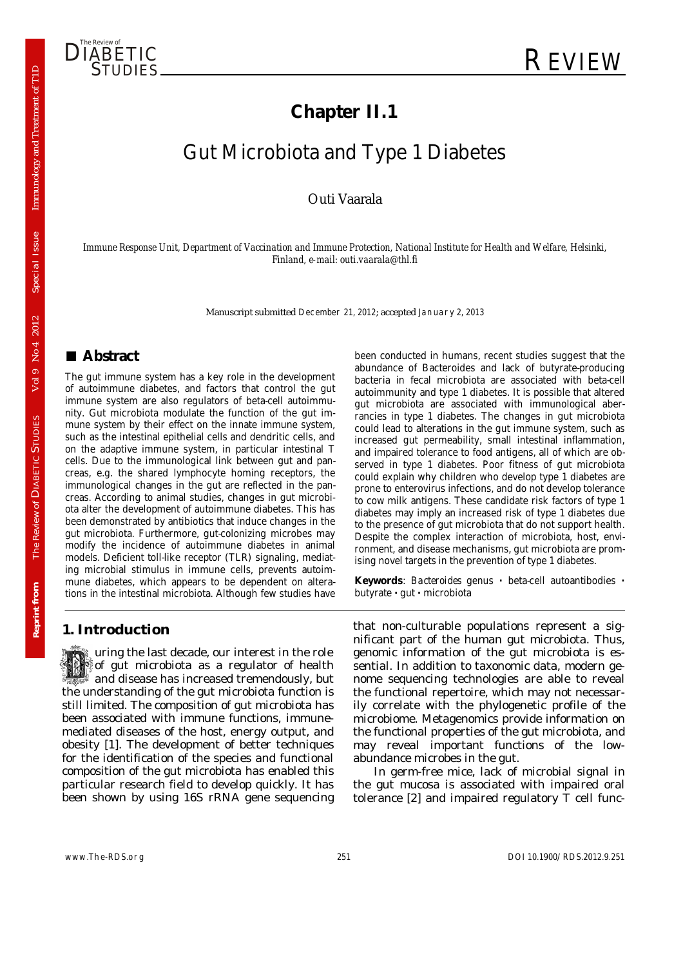

## **Chapter II.1**

# Gut Microbiota and Type 1 Diabetes

Outi Vaarala

*Immune Response Unit, Department of Vaccination and Immune Protection, National Institute for Health and Welfare, Helsinki, Finland, e-mail: outi.vaarala@thl.fi* 

Manuscript submitted December 21, 2012; accepted January 2, 2013

### **■ Abstract**

The gut immune system has a key role in the development of autoimmune diabetes, and factors that control the gut immune system are also regulators of beta-cell autoimmunity. Gut microbiota modulate the function of the gut immune system by their effect on the innate immune system, such as the intestinal epithelial cells and dendritic cells, and on the adaptive immune system, in particular intestinal T cells. Due to the immunological link between gut and pancreas, e.g. the shared lymphocyte homing receptors, the immunological changes in the gut are reflected in the pancreas. According to animal studies, changes in gut microbiota alter the development of autoimmune diabetes. This has been demonstrated by antibiotics that induce changes in the gut microbiota. Furthermore, gut-colonizing microbes may modify the incidence of autoimmune diabetes in animal models. Deficient toll-like receptor (TLR) signaling, mediating microbial stimulus in immune cells, prevents autoimmune diabetes, which appears to be dependent on alterations in the intestinal microbiota. Although few studies have been conducted in humans, recent studies suggest that the abundance of Bacteroides and lack of butyrate-producing bacteria in fecal microbiota are associated with beta-cell autoimmunity and type 1 diabetes. It is possible that altered gut microbiota are associated with immunological aberrancies in type 1 diabetes. The changes in gut microbiota could lead to alterations in the gut immune system, such as increased gut permeability, small intestinal inflammation, and impaired tolerance to food antigens, all of which are observed in type 1 diabetes. Poor fitness of gut microbiota could explain why children who develop type 1 diabetes are prone to enterovirus infections, and do not develop tolerance to cow milk antigens. These candidate risk factors of type 1 diabetes may imply an increased risk of type 1 diabetes due to the presence of gut microbiota that do not support health. Despite the complex interaction of microbiota, host, environment, and disease mechanisms, gut microbiota are promising novel targets in the prevention of type 1 diabetes.

**Keywords**: *Bacteroides* genus **·** beta-cell autoantibodies **·** butyrate **·** gut **·** microbiota

#### **1. Introduction**

 uring the last decade, our interest in the role of gut microbiota as a regulator of health and disease has increased tremendously, but the understanding of the gut microbiota function is still limited. The composition of gut microbiota has been associated with immune functions, immunemediated diseases of the host, energy output, and obesity [1]. The development of better techniques for the identification of the species and functional composition of the gut microbiota has enabled this particular research field to develop quickly. It has been shown by using 16S rRNA gene sequencing that non-culturable populations represent a significant part of the human gut microbiota. Thus, genomic information of the gut microbiota is essential. In addition to taxonomic data, modern genome sequencing technologies are able to reveal the functional repertoire, which may not necessarily correlate with the phylogenetic profile of the microbiome. Metagenomics provide information on the functional properties of the gut microbiota, and may reveal important functions of the lowabundance microbes in the gut.

In germ-free mice, lack of microbial signal in the gut mucosa is associated with impaired oral tolerance  $[2]$  and impaired regulatory  $\overline{T}$  cell func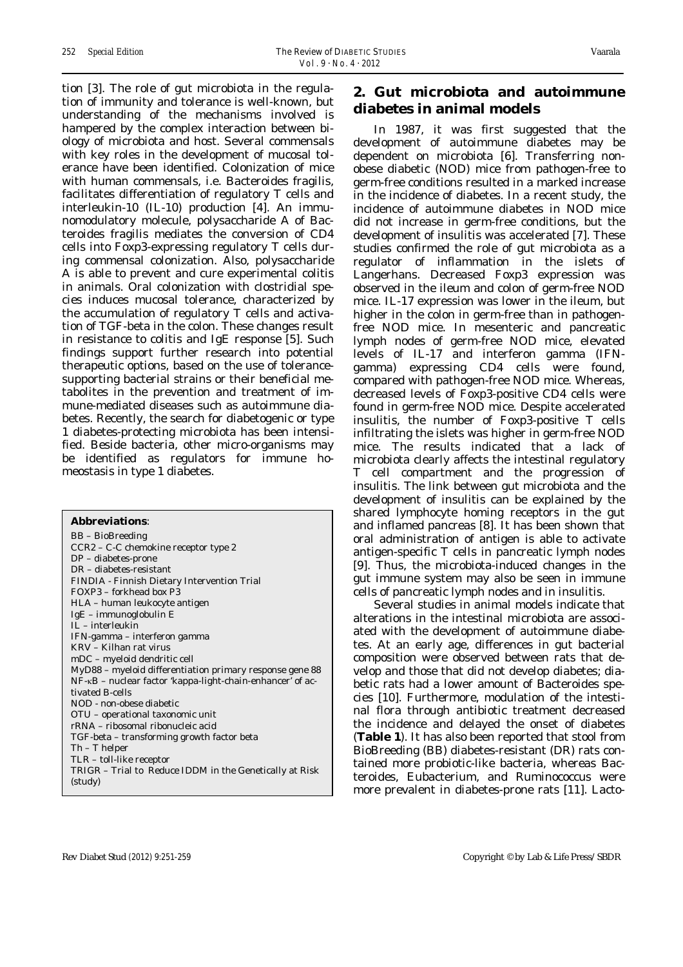tion [3]. The role of gut microbiota in the regulation of immunity and tolerance is well-known, but understanding of the mechanisms involved is hampered by the complex interaction between biology of microbiota and host. Several commensals with key roles in the development of mucosal tolerance have been identified. Colonization of mice with human commensals, i.e. Bacteroides fragilis, facilitates differentiation of regulatory T cells and interleukin-10 (IL-10) production [4]. An immunomodulatory molecule, polysaccharide A of Bacteroides fragilis mediates the conversion of CD4 cells into Foxp3-expressing regulatory T cells during commensal colonization. Also, polysaccharide A is able to prevent and cure experimental colitis in animals. Oral colonization with clostridial species induces mucosal tolerance, characterized by the accumulation of regulatory T cells and activation of TGF-beta in the colon. These changes result in resistance to colitis and IgE response [5]. Such findings support further research into potential therapeutic options, based on the use of tolerancesupporting bacterial strains or their beneficial metabolites in the prevention and treatment of immune-mediated diseases such as autoimmune diabetes. Recently, the search for diabetogenic or type 1 diabetes-protecting microbiota has been intensified. Beside bacteria, other micro-organisms may be identified as regulators for immune homeostasis in type 1 diabetes.

#### **Abbreviations**: BB – BioBreeding CCR2 – C-C chemokine receptor type 2 DP – diabetes-prone DR – diabetes-resistant FINDIA - Finnish Dietary Intervention Trial FOXP3 – forkhead box P3 HLA – human leukocyte antigen IgE – immunoglobulin E IL – interleukin IFN-gamma – interferon gamma KRV – Kilhan rat virus mDC – myeloid dendritic cell MyD88 – myeloid differentiation primary response gene 88 NF-κB – nuclear factor 'kappa-light-chain-enhancer' of activated B-cells NOD - non-obese diabetic OTU – operational taxonomic unit rRNA – ribosomal ribonucleic acid TGF-beta – transforming growth factor beta Th – T helper TLR – toll-like receptor TRIGR – Trial to Reduce IDDM in the Genetically at Risk (study)

#### **2. Gut microbiota and autoimmune diabetes in animal models**

In 1987, it was first suggested that the development of autoimmune diabetes may be dependent on microbiota [6]. Transferring nonobese diabetic (NOD) mice from pathogen-free to germ-free conditions resulted in a marked increase in the incidence of diabetes. In a recent study, the incidence of autoimmune diabetes in NOD mice did not increase in germ-free conditions, but the development of insulitis was accelerated [7]. These studies confirmed the role of gut microbiota as a regulator of inflammation in the islets of Langerhans. Decreased Foxp3 expression was observed in the ileum and colon of germ-free NOD mice. IL-17 expression was lower in the ileum, but higher in the colon in germ-free than in pathogenfree NOD mice. In mesenteric and pancreatic lymph nodes of germ-free NOD mice, elevated levels of IL-17 and interferon gamma (IFNgamma) expressing CD4 cells were found, compared with pathogen-free NOD mice. Whereas, decreased levels of Foxp3-positive CD4 cells were found in germ-free NOD mice. Despite accelerated insulitis, the number of Foxp3-positive T cells infiltrating the islets was higher in germ-free NOD mice. The results indicated that a lack of microbiota clearly affects the intestinal regulatory T cell compartment and the progression of insulitis. The link between gut microbiota and the development of insulitis can be explained by the shared lymphocyte homing receptors in the gut and inflamed pancreas [8]. It has been shown that oral administration of antigen is able to activate antigen-specific T cells in pancreatic lymph nodes [9]. Thus, the microbiota-induced changes in the gut immune system may also be seen in immune cells of pancreatic lymph nodes and in insulitis.

Several studies in animal models indicate that alterations in the intestinal microbiota are associated with the development of autoimmune diabetes. At an early age, differences in gut bacterial composition were observed between rats that develop and those that did not develop diabetes; diabetic rats had a lower amount of Bacteroides species [10]. Furthermore, modulation of the intestinal flora through antibiotic treatment decreased the incidence and delayed the onset of diabetes (**Table 1**). It has also been reported that stool from BioBreeding (BB) diabetes-resistant (DR) rats contained more probiotic-like bacteria, whereas Bacteroides, Eubacterium, and Ruminococcus were more prevalent in diabetes-prone rats [11]. Lacto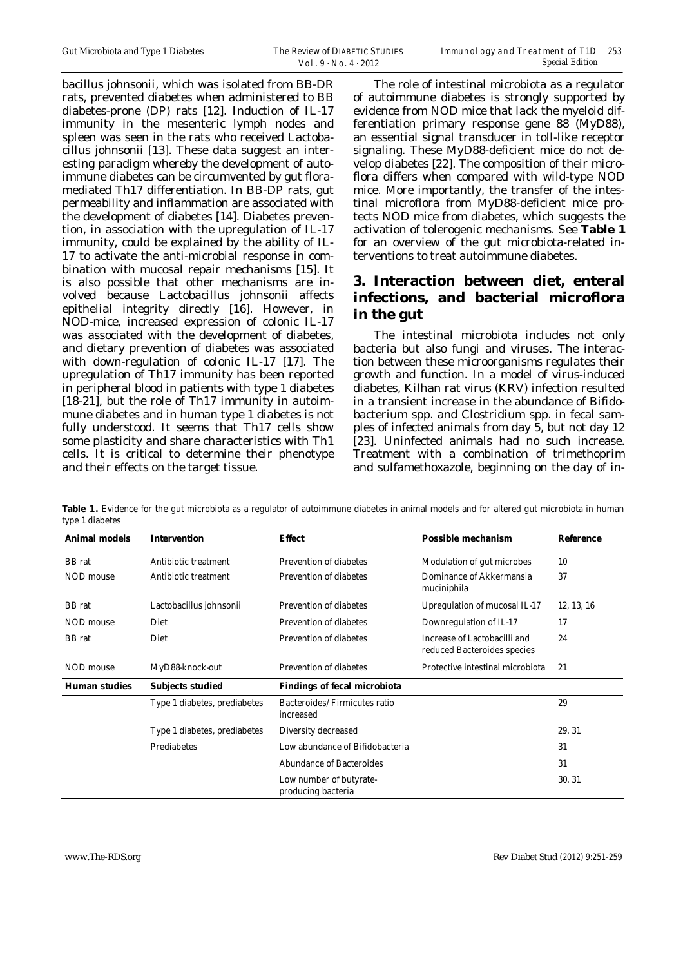bacillus johnsonii, which was isolated from BB-DR rats, prevented diabetes when administered to BB diabetes-prone (DP) rats [12]. Induction of IL-17 immunity in the mesenteric lymph nodes and spleen was seen in the rats who received Lactobacillus johnsonii [13]. These data suggest an interesting paradigm whereby the development of autoimmune diabetes can be circumvented by gut floramediated Th17 differentiation. In BB-DP rats, gut permeability and inflammation are associated with the development of diabetes [14]. Diabetes prevention, in association with the upregulation of IL-17 immunity, could be explained by the ability of IL-17 to activate the anti-microbial response in combination with mucosal repair mechanisms [15]. It is also possible that other mechanisms are involved because Lactobacillus johnsonii affects epithelial integrity directly [16]. However, in NOD-mice, increased expression of colonic IL-17 was associated with the development of diabetes, and dietary prevention of diabetes was associated with down-regulation of colonic IL-17 [17]. The upregulation of Th17 immunity has been reported in peripheral blood in patients with type 1 diabetes [18-21], but the role of Th17 immunity in autoimmune diabetes and in human type 1 diabetes is not fully understood. It seems that Th17 cells show some plasticity and share characteristics with Th1 cells. It is critical to determine their phenotype and their effects on the target tissue.

The role of intestinal microbiota as a regulator of autoimmune diabetes is strongly supported by evidence from NOD mice that lack the myeloid differentiation primary response gene 88 (MyD88), an essential signal transducer in toll-like receptor signaling. These MyD88-deficient mice do not develop diabetes [22]. The composition of their microflora differs when compared with wild-type NOD mice. More importantly, the transfer of the intestinal microflora from MyD88-deficient mice protects NOD mice from diabetes, which suggests the activation of tolerogenic mechanisms. See **Table 1** for an overview of the gut microbiota-related interventions to treat autoimmune diabetes.

### **3. Interaction between diet, enteral infections, and bacterial microflora in the gut**

The intestinal microbiota includes not only bacteria but also fungi and viruses. The interaction between these microorganisms regulates their growth and function. In a model of virus-induced diabetes, Kilhan rat virus (KRV) infection resulted in a transient increase in the abundance of Bifidobacterium spp. and Clostridium spp. in fecal samples of infected animals from day 5, but not day 12 [23]. Uninfected animals had no such increase. Treatment with a combination of trimethoprim and sulfamethoxazole, beginning on the day of in-

| <b>Animal models</b> | <b>Intervention</b>          | <b>Effect</b>                                 | <b>Possible mechanism</b>                                   | <b>Reference</b> |
|----------------------|------------------------------|-----------------------------------------------|-------------------------------------------------------------|------------------|
| <b>BB</b> rat        | Antibiotic treatment         | <b>Prevention of diabetes</b>                 | Modulation of gut microbes                                  | 10               |
| <b>NOD</b> mouse     | Antibiotic treatment         | <b>Prevention of diabetes</b>                 | Dominance of Akkermansia<br>muciniphila                     | 37               |
| <b>BB</b> rat        | Lactobacillus johnsonii      | <b>Prevention of diabetes</b>                 | Upregulation of mucosal IL-17                               | 12, 13, 16       |
| NOD mouse            | Diet                         | <b>Prevention of diabetes</b>                 | Downregulation of IL-17                                     | 17               |
| <b>BB</b> rat        | Diet                         | <b>Prevention of diabetes</b>                 | Increase of Lactobacilli and<br>reduced Bacteroides species | 24               |
| NOD mouse            | MyD88-knock-out              | <b>Prevention of diabetes</b>                 | Protective intestinal microbiota                            | 21               |
| <b>Human studies</b> | <b>Subjects studied</b>      | <b>Findings of fecal microbiota</b>           |                                                             |                  |
|                      | Type 1 diabetes, prediabetes | Bacteroides/Firmicutes ratio<br>increased     |                                                             | 29               |
|                      | Type 1 diabetes, prediabetes | Diversity decreased                           |                                                             | 29, 31           |
|                      | Prediabetes                  | Low abundance of Bifidobacteria               |                                                             | 31               |
|                      |                              | <b>Abundance of Bacteroides</b>               |                                                             | 31               |
|                      |                              | Low number of butyrate-<br>producing bacteria |                                                             | 30, 31           |

Table 1. Evidence for the gut microbiota as a regulator of autoimmune diabetes in animal models and for altered gut microbiota in human type 1 diabetes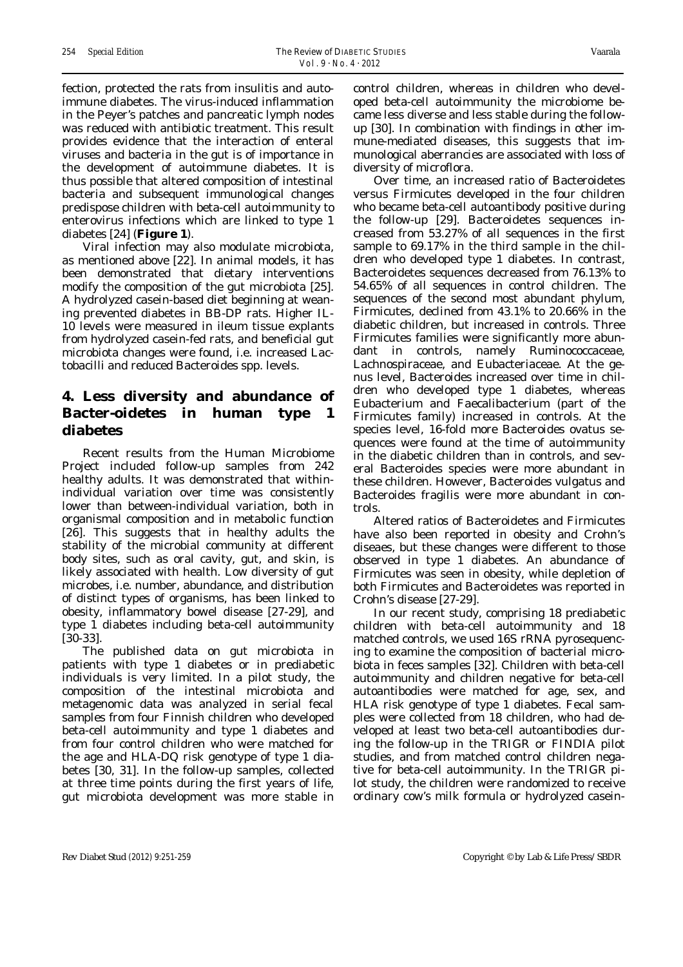fection, protected the rats from insulitis and autoimmune diabetes. The virus-induced inflammation in the Peyer's patches and pancreatic lymph nodes was reduced with antibiotic treatment. This result provides evidence that the interaction of enteral viruses and bacteria in the gut is of importance in the development of autoimmune diabetes. It is thus possible that altered composition of intestinal bacteria and subsequent immunological changes predispose children with beta-cell autoimmunity to enterovirus infections which are linked to type 1 diabetes [24] (**Figure 1**).

Viral infection may also modulate microbiota, as mentioned above [22]. In animal models, it has been demonstrated that dietary interventions modify the composition of the gut microbiota [25]. A hydrolyzed casein-based diet beginning at weaning prevented diabetes in BB-DP rats. Higher IL-10 levels were measured in ileum tissue explants from hydrolyzed casein-fed rats, and beneficial gut microbiota changes were found, i.e. increased Lactobacilli and reduced Bacteroides spp. levels.

### **4. Less diversity and abundance of Bacter-oidetes in human type 1 diabetes**

Recent results from the Human Microbiome Project included follow-up samples from 242 healthy adults. It was demonstrated that withinindividual variation over time was consistently lower than between-individual variation, both in organismal composition and in metabolic function [26]. This suggests that in healthy adults the stability of the microbial community at different body sites, such as oral cavity, gut, and skin, is likely associated with health. Low diversity of gut microbes, i.e. number, abundance, and distribution of distinct types of organisms, has been linked to obesity, inflammatory bowel disease [27-29], and type 1 diabetes including beta-cell autoimmunity [30-33].

The published data on gut microbiota in patients with type 1 diabetes or in prediabetic individuals is very limited. In a pilot study, the composition of the intestinal microbiota and metagenomic data was analyzed in serial fecal samples from four Finnish children who developed beta-cell autoimmunity and type 1 diabetes and from four control children who were matched for the age and HLA-DQ risk genotype of type 1 diabetes [30, 31]. In the follow-up samples, collected at three time points during the first years of life, gut microbiota development was more stable in control children, whereas in children who developed beta-cell autoimmunity the microbiome became less diverse and less stable during the followup [30]. In combination with findings in other immune-mediated diseases, this suggests that immunological aberrancies are associated with loss of diversity of microflora.

Over time, an increased ratio of Bacteroidetes versus Firmicutes developed in the four children who became beta-cell autoantibody positive during the follow-up [29]. Bacteroidetes sequences increased from 53.27% of all sequences in the first sample to 69.17% in the third sample in the children who developed type 1 diabetes. In contrast, Bacteroidetes sequences decreased from 76.13% to 54.65% of all sequences in control children. The sequences of the second most abundant phylum, Firmicutes, declined from 43.1% to 20.66% in the diabetic children, but increased in controls. Three Firmicutes families were significantly more abundant in controls, namely Ruminococcaceae, Lachnospiraceae, and Eubacteriaceae. At the genus level, Bacteroides increased over time in children who developed type 1 diabetes, whereas Eubacterium and Faecalibacterium (part of the Firmicutes family) increased in controls. At the species level, 16-fold more Bacteroides ovatus sequences were found at the time of autoimmunity in the diabetic children than in controls, and several Bacteroides species were more abundant in these children. However, Bacteroides vulgatus and Bacteroides fragilis were more abundant in controls.

Altered ratios of Bacteroidetes and Firmicutes have also been reported in obesity and Crohn's diseaes, but these changes were different to those observed in type 1 diabetes. An abundance of Firmicutes was seen in obesity, while depletion of both Firmicutes and Bacteroidetes was reported in Crohn's disease [27-29].

In our recent study, comprising 18 prediabetic children with beta-cell autoimmunity and 18 matched controls, we used 16S rRNA pyrosequencing to examine the composition of bacterial microbiota in feces samples [32]. Children with beta-cell autoimmunity and children negative for beta-cell autoantibodies were matched for age, sex, and HLA risk genotype of type 1 diabetes. Fecal samples were collected from 18 children, who had developed at least two beta-cell autoantibodies during the follow-up in the TRIGR or FINDIA pilot studies, and from matched control children negative for beta-cell autoimmunity. In the TRIGR pilot study, the children were randomized to receive ordinary cow's milk formula or hydrolyzed casein-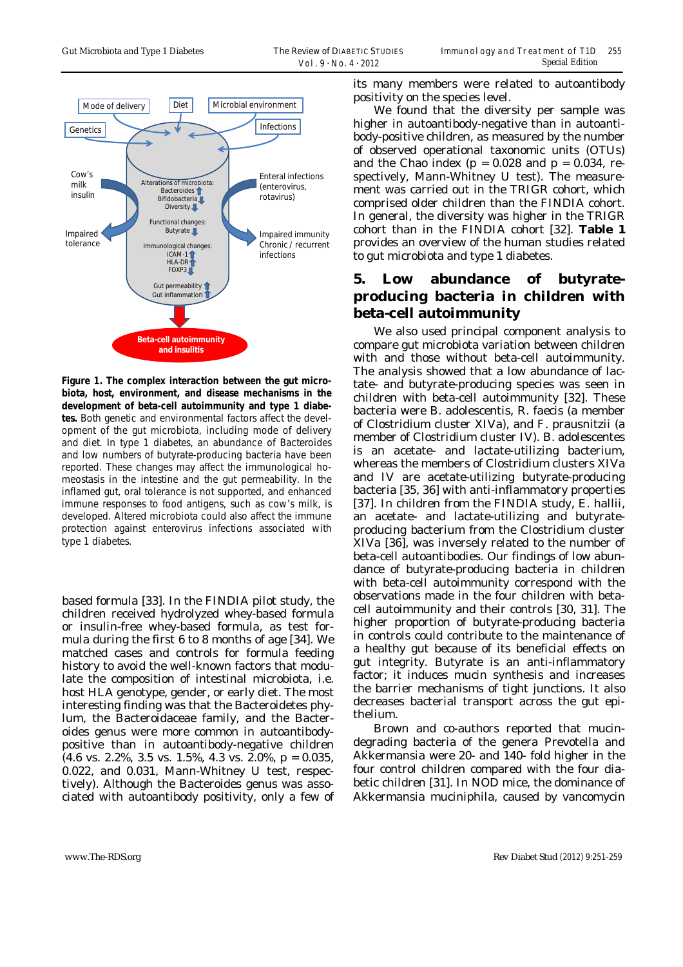

**Figure 1. The complex interaction between the gut microbiota, host, environment, and disease mechanisms in the development of beta-cell autoimmunity and type 1 diabetes.** Both genetic and environmental factors affect the development of the gut microbiota, including mode of delivery and diet. In type 1 diabetes, an abundance of Bacteroides and low numbers of butyrate-producing bacteria have been reported. These changes may affect the immunological homeostasis in the intestine and the gut permeability. In the inflamed gut, oral tolerance is not supported, and enhanced immune responses to food antigens, such as cow's milk, is developed. Altered microbiota could also affect the immune protection against enterovirus infections associated with type 1 diabetes.

based formula [33]. In the FINDIA pilot study, the children received hydrolyzed whey-based formula or insulin-free whey-based formula, as test formula during the first 6 to 8 months of age [34]. We matched cases and controls for formula feeding history to avoid the well-known factors that modulate the composition of intestinal microbiota, i.e. host HLA genotype, gender, or early diet. The most interesting finding was that the Bacteroidetes phylum, the Bacteroidaceae family, and the Bacteroides genus were more common in autoantibodypositive than in autoantibody-negative children (4.6 vs. 2.2%, 3.5 vs. 1.5%, 4.3 vs. 2.0%, p = 0.035, 0.022, and 0.031, Mann-Whitney U test, respectively). Although the Bacteroides genus was associated with autoantibody positivity, only a few of its many members were related to autoantibody positivity on the species level.

We found that the diversity per sample was higher in autoantibody-negative than in autoantibody-positive children, as measured by the number of observed operational taxonomic units (OTUs) and the Chao index ( $p = 0.028$  and  $p = 0.034$ , respectively, Mann-Whitney U test). The measurement was carried out in the TRIGR cohort, which comprised older children than the FINDIA cohort. In general, the diversity was higher in the TRIGR cohort than in the FINDIA cohort [32]. **Table 1** provides an overview of the human studies related to gut microbiota and type 1 diabetes.

### **5. Low abundance of butyrateproducing bacteria in children with beta-cell autoimmunity**

We also used principal component analysis to compare gut microbiota variation between children with and those without beta-cell autoimmunity. The analysis showed that a low abundance of lactate- and butyrate-producing species was seen in children with beta-cell autoimmunity [32]. These bacteria were B. adolescentis, R. faecis (a member of Clostridium cluster XIVa), and F. prausnitzii (a member of Clostridium cluster IV). B. adolescentes is an acetate- and lactate-utilizing bacterium, whereas the members of Clostridium clusters XIVa and IV are acetate-utilizing butyrate-producing bacteria [35, 36] with anti-inflammatory properties [37]. In children from the FINDIA study, E. hallii, an acetate- and lactate-utilizing and butyrateproducing bacterium from the Clostridium cluster XIVa [36], was inversely related to the number of beta-cell autoantibodies. Our findings of low abundance of butyrate-producing bacteria in children with beta-cell autoimmunity correspond with the observations made in the four children with betacell autoimmunity and their controls [30, 31]. The higher proportion of butyrate-producing bacteria in controls could contribute to the maintenance of a healthy gut because of its beneficial effects on gut integrity. Butyrate is an anti-inflammatory factor; it induces mucin synthesis and increases the barrier mechanisms of tight junctions. It also decreases bacterial transport across the gut epithelium.

Brown and co-authors reported that mucindegrading bacteria of the genera Prevotella and Akkermansia were 20- and 140- fold higher in the four control children compared with the four diabetic children [31]. In NOD mice, the dominance of Akkermansia muciniphila, caused by vancomycin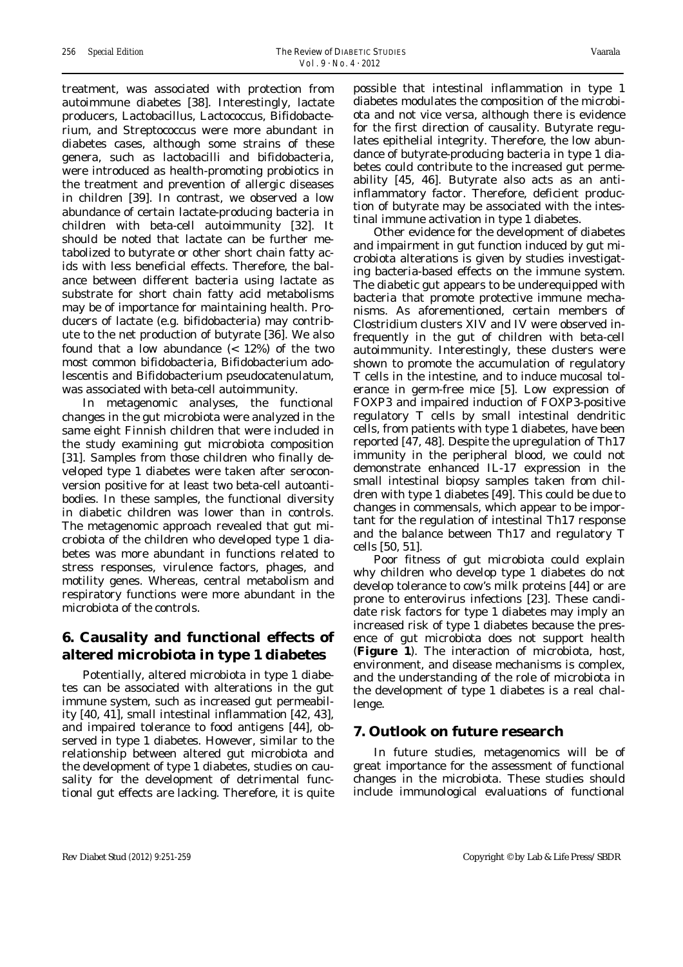treatment, was associated with protection from autoimmune diabetes [38]. Interestingly, lactate producers, Lactobacillus, Lactococcus, Bifidobacterium, and Streptococcus were more abundant in diabetes cases, although some strains of these genera, such as lactobacilli and bifidobacteria, were introduced as health-promoting probiotics in the treatment and prevention of allergic diseases in children [39]. In contrast, we observed a low abundance of certain lactate-producing bacteria in children with beta-cell autoimmunity [32]. It should be noted that lactate can be further metabolized to butyrate or other short chain fatty acids with less beneficial effects. Therefore, the balance between different bacteria using lactate as substrate for short chain fatty acid metabolisms may be of importance for maintaining health. Producers of lactate (e.g. bifidobacteria) may contribute to the net production of butyrate [36]. We also found that a low abundance (< 12%) of the two most common bifidobacteria, Bifidobacterium adolescentis and Bifidobacterium pseudocatenulatum, was associated with beta-cell autoimmunity.

In metagenomic analyses, the functional changes in the gut microbiota were analyzed in the same eight Finnish children that were included in the study examining gut microbiota composition [31]. Samples from those children who finally developed type 1 diabetes were taken after seroconversion positive for at least two beta-cell autoantibodies. In these samples, the functional diversity in diabetic children was lower than in controls. The metagenomic approach revealed that gut microbiota of the children who developed type 1 diabetes was more abundant in functions related to stress responses, virulence factors, phages, and motility genes. Whereas, central metabolism and respiratory functions were more abundant in the microbiota of the controls.

### **6. Causality and functional effects of altered microbiota in type 1 diabetes**

Potentially, altered microbiota in type 1 diabetes can be associated with alterations in the gut immune system, such as increased gut permeability [40, 41], small intestinal inflammation [42, 43], and impaired tolerance to food antigens [44], observed in type 1 diabetes. However, similar to the relationship between altered gut microbiota and the development of type 1 diabetes, studies on causality for the development of detrimental functional gut effects are lacking. Therefore, it is quite possible that intestinal inflammation in type 1 diabetes modulates the composition of the microbiota and not vice versa, although there is evidence for the first direction of causality. Butyrate regulates epithelial integrity. Therefore, the low abundance of butyrate-producing bacteria in type 1 diabetes could contribute to the increased gut permeability [45, 46]. Butyrate also acts as an antiinflammatory factor. Therefore, deficient production of butyrate may be associated with the intestinal immune activation in type 1 diabetes.

Other evidence for the development of diabetes and impairment in gut function induced by gut microbiota alterations is given by studies investigating bacteria-based effects on the immune system. The diabetic gut appears to be underequipped with bacteria that promote protective immune mechanisms. As aforementioned, certain members of Clostridium clusters XIV and IV were observed infrequently in the gut of children with beta-cell autoimmunity. Interestingly, these clusters were shown to promote the accumulation of regulatory T cells in the intestine, and to induce mucosal tolerance in germ-free mice [5]. Low expression of FOXP3 and impaired induction of FOXP3-positive regulatory T cells by small intestinal dendritic cells, from patients with type 1 diabetes, have been reported [47, 48]. Despite the upregulation of Th17 immunity in the peripheral blood, we could not demonstrate enhanced IL-17 expression in the small intestinal biopsy samples taken from children with type 1 diabetes [49]. This could be due to changes in commensals, which appear to be important for the regulation of intestinal Th17 response and the balance between Th17 and regulatory T cells [50, 51].

Poor fitness of gut microbiota could explain why children who develop type 1 diabetes do not develop tolerance to cow's milk proteins [44] or are prone to enterovirus infections [23]. These candidate risk factors for type 1 diabetes may imply an increased risk of type 1 diabetes because the presence of gut microbiota does not support health (**Figure 1**). The interaction of microbiota, host, environment, and disease mechanisms is complex, and the understanding of the role of microbiota in the development of type 1 diabetes is a real challenge.

#### **7. Outlook on future research**

In future studies, metagenomics will be of great importance for the assessment of functional changes in the microbiota. These studies should include immunological evaluations of functional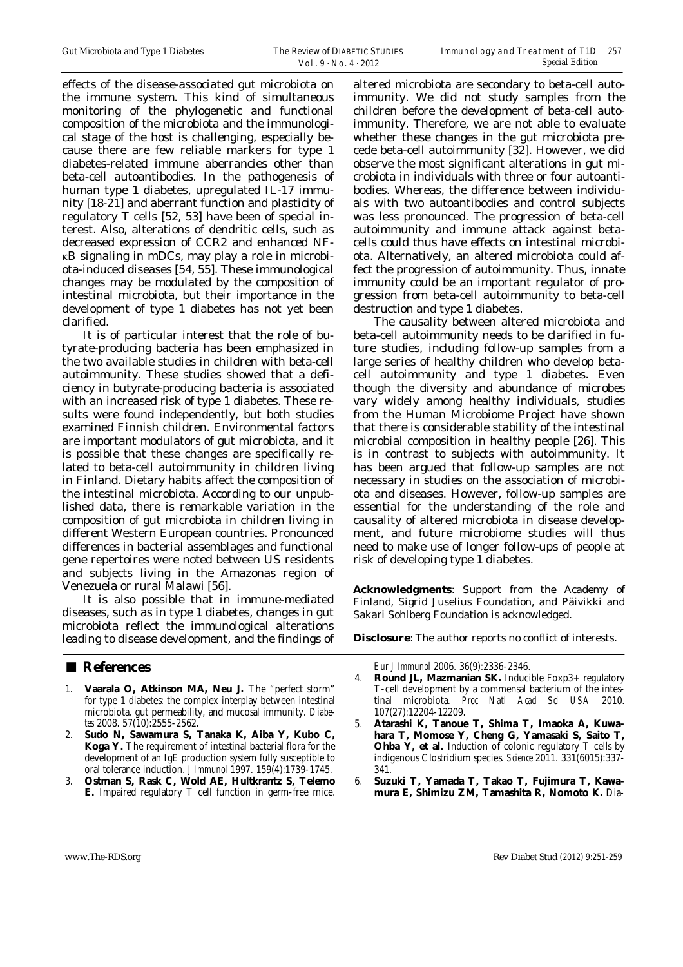effects of the disease-associated gut microbiota on the immune system. This kind of simultaneous monitoring of the phylogenetic and functional composition of the microbiota and the immunological stage of the host is challenging, especially because there are few reliable markers for type 1 diabetes-related immune aberrancies other than beta-cell autoantibodies. In the pathogenesis of human type 1 diabetes, upregulated IL-17 immunity [18-21] and aberrant function and plasticity of regulatory T cells [52, 53] have been of special interest. Also, alterations of dendritic cells, such as decreased expression of CCR2 and enhanced NFκB signaling in mDCs, may play a role in microbiota-induced diseases [54, 55]. These immunological changes may be modulated by the composition of intestinal microbiota, but their importance in the development of type 1 diabetes has not yet been clarified.

It is of particular interest that the role of butyrate-producing bacteria has been emphasized in the two available studies in children with beta-cell autoimmunity. These studies showed that a deficiency in butyrate-producing bacteria is associated with an increased risk of type 1 diabetes. These results were found independently, but both studies examined Finnish children. Environmental factors are important modulators of gut microbiota, and it is possible that these changes are specifically related to beta-cell autoimmunity in children living in Finland. Dietary habits affect the composition of the intestinal microbiota. According to our unpublished data, there is remarkable variation in the composition of gut microbiota in children living in different Western European countries. Pronounced differences in bacterial assemblages and functional gene repertoires were noted between US residents and subjects living in the Amazonas region of Venezuela or rural Malawi [56].

It is also possible that in immune-mediated diseases, such as in type 1 diabetes, changes in gut microbiota reflect the immunological alterations leading to disease development, and the findings of

#### ■ **References**

- 1. **Vaarala O, Atkinson MA, Neu J.** The "perfect storm" for type 1 diabetes: the complex interplay between intestinal microbiota, gut permeability, and mucosal immunity. *Diabetes* 2008. 57(10):2555-2562.
- 2. **Sudo N, Sawamura S, Tanaka K, Aiba Y, Kubo C, Koga Y.** The requirement of intestinal bacterial flora for the development of an IgE production system fully susceptible to oral tolerance induction. *J Immunol* 1997. 159(4):1739-1745.
- 3. **Ostman S, Rask C, Wold AE, Hultkrantz S, Telemo E.** Impaired regulatory T cell function in germ-free mice.

altered microbiota are secondary to beta-cell autoimmunity. We did not study samples from the children before the development of beta-cell autoimmunity. Therefore, we are not able to evaluate whether these changes in the gut microbiota precede beta-cell autoimmunity [32]. However, we did observe the most significant alterations in gut microbiota in individuals with three or four autoantibodies. Whereas, the difference between individuals with two autoantibodies and control subjects was less pronounced. The progression of beta-cell autoimmunity and immune attack against betacells could thus have effects on intestinal microbiota. Alternatively, an altered microbiota could affect the progression of autoimmunity. Thus, innate immunity could be an important regulator of progression from beta-cell autoimmunity to beta-cell destruction and type 1 diabetes.

The causality between altered microbiota and beta-cell autoimmunity needs to be clarified in future studies, including follow-up samples from a large series of healthy children who develop betacell autoimmunity and type 1 diabetes. Even though the diversity and abundance of microbes vary widely among healthy individuals, studies from the Human Microbiome Project have shown that there is considerable stability of the intestinal microbial composition in healthy people [26]. This is in contrast to subjects with autoimmunity. It has been argued that follow-up samples are not necessary in studies on the association of microbiota and diseases. However, follow-up samples are essential for the understanding of the role and causality of altered microbiota in disease development, and future microbiome studies will thus need to make use of longer follow-ups of people at risk of developing type 1 diabetes.

**Acknowledgments**: Support from the Academy of Finland, Sigrid Juselius Foundation, and Päivikki and Sakari Sohlberg Foundation is acknowledged.

**Disclosure**: The author reports no conflict of interests.

*Eur J Immunol* 2006. 36(9):2336-2346.

- 4. **Round JL, Mazmanian SK.** Inducible Foxp3+ regulatory T-cell development by a commensal bacterium of the intestinal microbiota. *Proc Natl Acad Sci USA* 2010. 107(27):12204-12209.
- 5. **Atarashi K, Tanoue T, Shima T, Imaoka A, Kuwahara T, Momose Y, Cheng G, Yamasaki S, Saito T, Ohba Y, et al.** Induction of colonic regulatory T cells by indigenous Clostridium species. *Science* 2011. 331(6015):337- 341.
- 6. **Suzuki T, Yamada T, Takao T, Fujimura T, Kawamura E, Shimizu ZM, Tamashita R, Nomoto K.** Dia-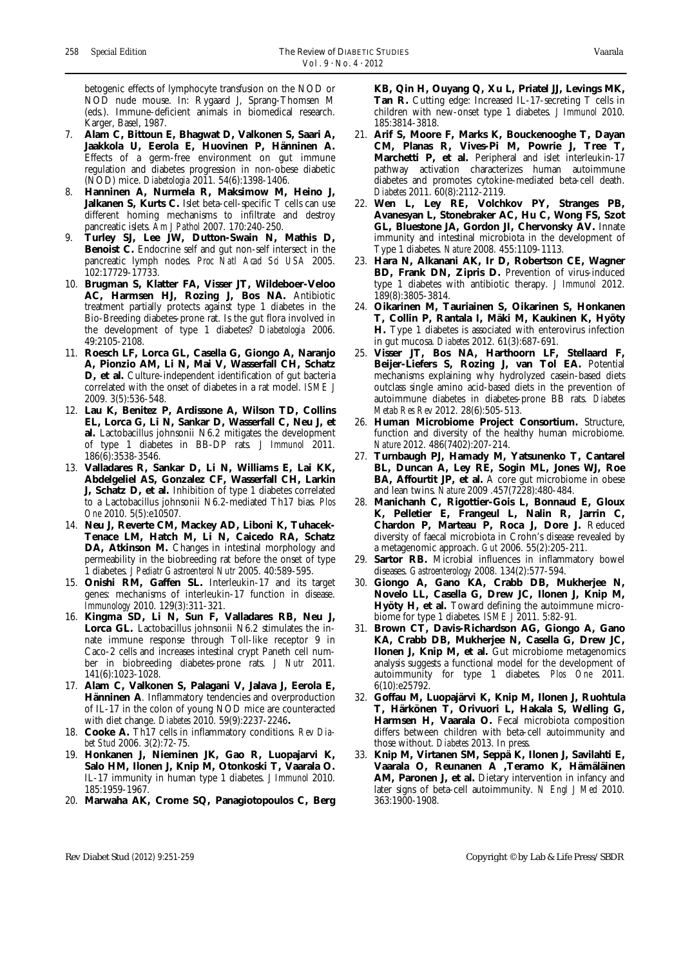betogenic effects of lymphocyte transfusion on the NOD or NOD nude mouse. In: Rygaard J, Sprang-Thomsen M (eds.). Immune-deficient animals in biomedical research. Karger, Basel, 1987.

- 7. **Alam C, Bittoun E, Bhagwat D, Valkonen S, Saari A, Jaakkola U, Eerola E, Huovinen P, Hänninen A.** Effects of a germ-free environment on gut immune regulation and diabetes progression in non-obese diabetic (NOD) mice. *Diabetologia* 2011. 54(6):1398-1406.
- 8. **Hanninen A, Nurmela R, Maksimow M, Heino J, Jalkanen S, Kurts C.** Islet beta-cell-specific T cells can use different homing mechanisms to infiltrate and destroy pancreatic islets. *Am J Pathol* 2007. 170:240-250.
- 9. **Turley SJ, Lee JW, Dutton-Swain N, Mathis D, Benoist C.** Endocrine self and gut non-self intersect in the pancreatic lymph nodes. *Proc Natl Acad Sci USA* 2005. 102:17729-17733.
- 10. **Brugman S, Klatter FA, Visser JT, Wildeboer-Veloo AC, Harmsen HJ, Rozing J, Bos NA.** Antibiotic treatment partially protects against type 1 diabetes in the Bio-Breeding diabetes-prone rat. Is the gut flora involved in the development of type 1 diabetes? *Diabetologia* 2006. 49:2105-2108.
- 11. **Roesch LF, Lorca GL, Casella G, Giongo A, Naranjo A, Pionzio AM, Li N, Mai V, Wasserfall CH, Schatz D, et al.** Culture-independent identification of gut bacteria correlated with the onset of diabetes in a rat model. *ISME J* 2009. 3(5):536-548.
- 12. **Lau K, Benitez P, Ardissone A, Wilson TD, Collins EL, Lorca G, Li N, Sankar D, Wasserfall C, Neu J, et al.** Lactobacillus johnsonii N6.2 mitigates the development of type 1 diabetes in BB-DP rats*. J Immunol* 2011. 186(6):3538-3546.
- 13. **Valladares R, Sankar D, Li N, Williams E, Lai KK, Abdelgeliel AS, Gonzalez CF, Wasserfall CH, Larkin J, Schatz D, et al.** Inhibition of type 1 diabetes correlated to a Lactobacillus johnsonii N6.2-mediated Th17 bias. *Plos One* 2010. 5(5):e10507.
- 14. **Neu J, Reverte CM, Mackey AD, Liboni K, Tuhacek-Tenace LM, Hatch M, Li N, Caicedo RA, Schatz**  DA, Atkinson M. Changes in intestinal morphology and permeability in the biobreeding rat before the onset of type 1 diabetes. *J Pediatr Gastroenterol Nutr* 2005. 40:589-595.
- 15. **Onishi RM, Gaffen SL.** Interleukin-17 and its target genes: mechanisms of interleukin-17 function in disease. *Immunology* 2010. 129(3):311-321.
- 16. **Kingma SD, Li N, Sun F, Valladares RB, Neu J, Lorca GL.** Lactobacillus johnsonii N6.2 stimulates the innate immune response through Toll-like receptor 9 in Caco-2 cells and increases intestinal crypt Paneth cell number in biobreeding diabetes-prone rats. *J Nutr* 2011. 141(6):1023-1028.
- 17. **Alam C, Valkonen S, Palagani V, Jalava J, Eerola E, Hänninen A**. Inflammatory tendencies and overproduction of IL-17 in the colon of young NOD mice are counteracted with diet change. *Diabetes* 2010. 59(9):2237-2246**.**
- 18. **Cooke A.** Th17 cells in inflammatory conditions. *Rev Diabet Stud* 2006. 3(2):72-75.
- 19. **Honkanen J, Nieminen JK, Gao R, Luopajarvi K, Salo HM, Ilonen J, Knip M, Otonkoski T, Vaarala O.** IL-17 immunity in human type 1 diabetes. *J Immunol* 2010. 185:1959-1967.
- 20. **Marwaha AK, Crome SQ, Panagiotopoulos C, Berg**

**KB, Qin H, Ouyang Q, Xu L, Priatel JJ, Levings MK, Tan R.** Cutting edge: Increased IL-17-secreting T cells in children with new-onset type 1 diabetes. *J Immunol* 2010. 185:3814-3818.

- 21. **Arif S, Moore F, Marks K, Bouckenooghe T, Dayan CM, Planas R, Vives-Pi M, Powrie J, Tree T, Marchetti P, et al.** Peripheral and islet interleukin-17 pathway activation characterizes human autoimmune diabetes and promotes cytokine-mediated beta-cell death. *Diabetes* 2011. 60(8):2112-2119.
- 22. **Wen L, Ley RE, Volchkov PY, Stranges PB, Avanesyan L, Stonebraker AC, Hu C, Wong FS, Szot GL, Bluestone JA, Gordon JI, Chervonsky AV.** Innate immunity and intestinal microbiota in the development of Type 1 diabetes. *Nature* 2008. 455:1109-1113.
- 23. **Hara N, Alkanani AK, Ir D, Robertson CE, Wagner BD, Frank DN, Zipris D.** Prevention of virus-induced type 1 diabetes with antibiotic therapy. *J Immunol* 2012. 189(8):3805-3814.
- 24. **Oikarinen M, Tauriainen S, Oikarinen S, Honkanen T, Collin P, Rantala I, Mäki M, Kaukinen K, Hyöty H.** Type 1 diabetes is associated with enterovirus infection in gut mucosa. *Diabetes* 2012. 61(3):687-691.
- 25. **Visser JT, Bos NA, Harthoorn LF, Stellaard F, Beijer-Liefers S, Rozing J, van Tol EA.** Potential mechanisms explaining why hydrolyzed casein-based diets outclass single amino acid-based diets in the prevention of autoimmune diabetes in diabetes-prone BB rats. *Diabetes Metab Res Rev* 2012. 28(6):505-513.
- 26. **Human Microbiome Project Consortium.** Structure, function and diversity of the healthy human microbiome. *Nature* 2012. 486(7402):207-214.
- 27. **Turnbaugh PJ, Hamady M, Yatsunenko T, Cantarel BL, Duncan A, Ley RE, Sogin ML, Jones WJ, Roe BA, Affourtit JP, et al.** A core gut microbiome in obese and lean twins. *Nature* 2009 .457(7228):480-484.
- 28. **Manichanh C, Rigottier-Gois L, Bonnaud E, Gloux K, Pelletier E, Frangeul L, Nalin R, Jarrin C, Chardon P, Marteau P, Roca J, Dore J.** Reduced diversity of faecal microbiota in Crohn's disease revealed by a metagenomic approach. *Gut* 2006. 55(2):205-211.
- 29. **Sartor RB.** Microbial influences in inflammatory bowel diseases. *Gastroenterology* 2008. 134(2):577-594.
- 30. **Giongo A, Gano KA, Crabb DB, Mukherjee N, Novelo LL, Casella G, Drew JC, Ilonen J, Knip M, Hyöty H, et al.** Toward defining the autoimmune microbiome for type 1 diabetes. *ISME J* 2011. 5:82-91.
- 31. **Brown CT, Davis-Richardson AG, Giongo A, Gano KA, Crabb DB, Mukherjee N, Casella G, Drew JC, Ilonen J, Knip M, et al.** Gut microbiome metagenomics analysis suggests a functional model for the development of autoimmunity for type 1 diabetes. *Plos One* 2011. 6(10):e25792.
- 32. **Goffau M, Luopajärvi K, Knip M, Ilonen J, Ruohtula T, Härkönen T, Orivuori L, Hakala S, Welling G, Harmsen H, Vaarala O.** Fecal microbiota composition differs between children with beta-cell autoimmunity and those without. *Diabetes* 2013. In press.
- 33. **Knip M, Virtanen SM, Seppä K, Ilonen J, Savilahti E, Vaarala O, Reunanen A ,Teramo K, Hämäläinen AM, Paronen J, et al.** Dietary intervention in infancy and later signs of beta-cell autoimmunity. *N Engl J Med* 2010. 363:1900-1908.